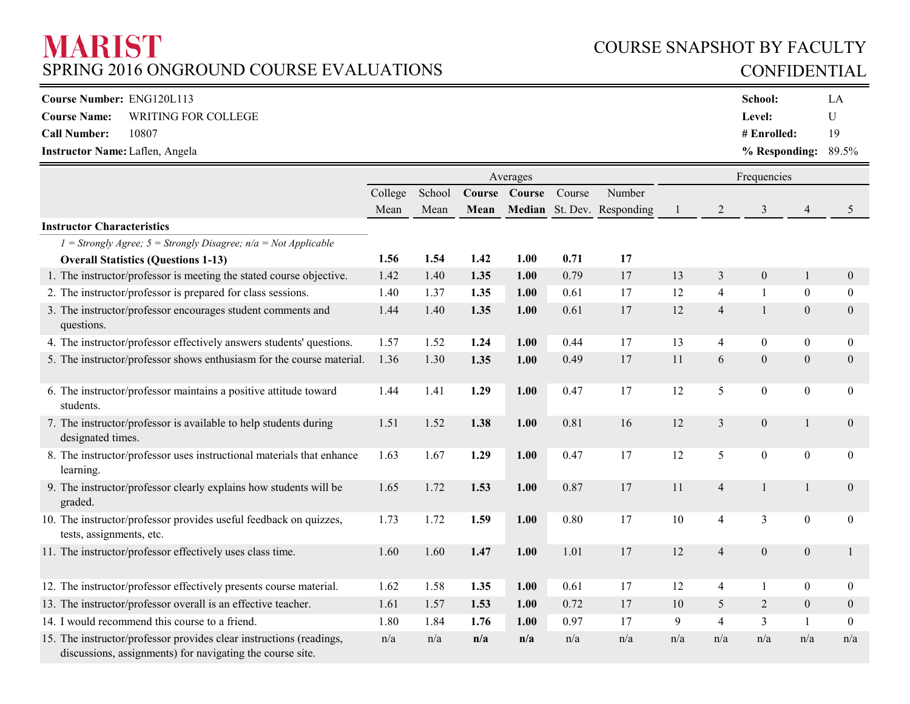# **MARIST** SPRING 2016 ONGROUND COURSE EVALUATIONS

# COURSE SNAPSHOT BY FACULTY CONFIDENTIAL

| <b>Course Number: ENG120L113</b>           | <b>School:</b>           | LP |
|--------------------------------------------|--------------------------|----|
| WRITING FOR COLLEGE<br><b>Course Name:</b> | Level:                   |    |
| 10807<br><b>Call Number:</b>               | $\#$ Enrolled:           | 19 |
| <b>Instructor Name: Laflen, Angela</b>     | $%$ Responding: $89.5\%$ |    |

|                                                                                                                                  | Averages<br>Frequencies |        |        |        |        |                            |     |                |                  |                  |                  |
|----------------------------------------------------------------------------------------------------------------------------------|-------------------------|--------|--------|--------|--------|----------------------------|-----|----------------|------------------|------------------|------------------|
|                                                                                                                                  | College                 | School | Course | Course | Course | Number                     |     |                |                  |                  |                  |
|                                                                                                                                  | Mean                    | Mean   | Mean   |        |        | Median St. Dev. Responding |     | $\overline{2}$ | 3                | $\overline{4}$   | 5                |
| <b>Instructor Characteristics</b>                                                                                                |                         |        |        |        |        |                            |     |                |                  |                  |                  |
| $1 =$ Strongly Agree; $5 =$ Strongly Disagree; $n/a =$ Not Applicable                                                            |                         |        |        |        |        |                            |     |                |                  |                  |                  |
| <b>Overall Statistics (Questions 1-13)</b>                                                                                       | 1.56                    | 1.54   | 1.42   | 1.00   | 0.71   | 17                         |     |                |                  |                  |                  |
| 1. The instructor/professor is meeting the stated course objective.                                                              | 1.42                    | 1.40   | 1.35   | 1.00   | 0.79   | 17                         | 13  | $\mathfrak{Z}$ | $\boldsymbol{0}$ | $\mathbf{1}$     | $\mathbf{0}$     |
| 2. The instructor/professor is prepared for class sessions.                                                                      | 1.40                    | 1.37   | 1.35   | 1.00   | 0.61   | 17                         | 12  | 4              | $\mathbf{1}$     | $\mathbf{0}$     | $\mathbf{0}$     |
| 3. The instructor/professor encourages student comments and<br>questions.                                                        | 1.44                    | 1.40   | 1.35   | 1.00   | 0.61   | 17                         | 12  | $\overline{4}$ | $\mathbf{1}$     | $\boldsymbol{0}$ | $\boldsymbol{0}$ |
| 4. The instructor/professor effectively answers students' questions.                                                             | 1.57                    | 1.52   | 1.24   | 1.00   | 0.44   | 17                         | 13  | $\overline{4}$ | $\mathbf{0}$     | $\boldsymbol{0}$ | $\boldsymbol{0}$ |
| 5. The instructor/professor shows enthusiasm for the course material.                                                            | 1.36                    | 1.30   | 1.35   | 1.00   | 0.49   | 17                         | 11  | 6              | $\boldsymbol{0}$ | $\boldsymbol{0}$ | $\mathbf{0}$     |
| 6. The instructor/professor maintains a positive attitude toward<br>students.                                                    | 1.44                    | 1.41   | 1.29   | 1.00   | 0.47   | 17                         | 12  | 5              | $\boldsymbol{0}$ | $\boldsymbol{0}$ | $\boldsymbol{0}$ |
| 7. The instructor/professor is available to help students during<br>designated times.                                            | 1.51                    | 1.52   | 1.38   | 1.00   | 0.81   | 16                         | 12  | 3              | $\boldsymbol{0}$ |                  | $\mathbf{0}$     |
| 8. The instructor/professor uses instructional materials that enhance<br>learning.                                               | 1.63                    | 1.67   | 1.29   | 1.00   | 0.47   | 17                         | 12  | 5              | $\boldsymbol{0}$ | $\boldsymbol{0}$ | $\mathbf{0}$     |
| 9. The instructor/professor clearly explains how students will be<br>graded.                                                     | 1.65                    | 1.72   | 1.53   | 1.00   | 0.87   | 17                         | 11  | $\overline{4}$ | $\mathbf{1}$     |                  | $\mathbf{0}$     |
| 10. The instructor/professor provides useful feedback on quizzes,<br>tests, assignments, etc.                                    | 1.73                    | 1.72   | 1.59   | 1.00   | 0.80   | 17                         | 10  | $\overline{4}$ | $\mathfrak{Z}$   | $\boldsymbol{0}$ | $\boldsymbol{0}$ |
| 11. The instructor/professor effectively uses class time.                                                                        | 1.60                    | 1.60   | 1.47   | 1.00   | 1.01   | 17                         | 12  | $\overline{4}$ | $\mathbf{0}$     | $\boldsymbol{0}$ | 1                |
| 12. The instructor/professor effectively presents course material.                                                               | 1.62                    | 1.58   | 1.35   | 1.00   | 0.61   | 17                         | 12  | 4              | $\mathbf{1}$     | $\boldsymbol{0}$ | $\boldsymbol{0}$ |
| 13. The instructor/professor overall is an effective teacher.                                                                    | 1.61                    | 1.57   | 1.53   | 1.00   | 0.72   | 17                         | 10  | 5              | 2                | $\boldsymbol{0}$ | $\mathbf{0}$     |
| 14. I would recommend this course to a friend.                                                                                   | 1.80                    | 1.84   | 1.76   | 1.00   | 0.97   | 17                         | 9   | 4              | 3                | $\mathbf{1}$     | $\boldsymbol{0}$ |
| 15. The instructor/professor provides clear instructions (readings,<br>discussions, assignments) for navigating the course site. | n/a                     | n/a    | n/a    | n/a    | n/a    | n/a                        | n/a | n/a            | n/a              | n/a              | n/a              |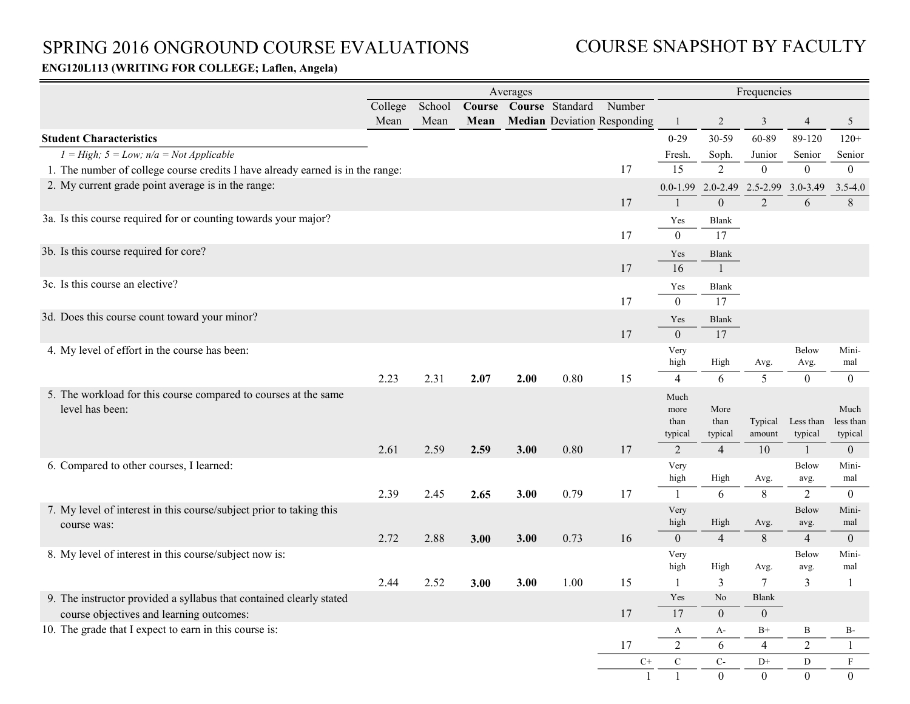# SPRING 2016 ONGROUND COURSE EVALUATIONS

# COURSE SNAPSHOT BY FACULTY

### **ENG120L113 (WRITING FOR COLLEGE; Laflen, Angela)**

|                                                                                    | Averages                                              |      |      |      |      |                                    |                                 | Frequencies             |                                     |                      |                              |  |
|------------------------------------------------------------------------------------|-------------------------------------------------------|------|------|------|------|------------------------------------|---------------------------------|-------------------------|-------------------------------------|----------------------|------------------------------|--|
|                                                                                    | School<br>College<br>Course Course Standard<br>Number |      |      |      |      |                                    |                                 |                         |                                     |                      |                              |  |
|                                                                                    | Mean                                                  | Mean | Mean |      |      | <b>Median Deviation Responding</b> |                                 | 2                       | 3                                   | 4                    | 5                            |  |
| <b>Student Characteristics</b>                                                     |                                                       |      |      |      |      |                                    | $0 - 29$                        | 30-59                   | 60-89                               | 89-120               | $120+$                       |  |
| $1 = High$ ; $5 = Low$ ; $n/a = Not Applied$                                       |                                                       |      |      |      |      |                                    | Fresh.                          | Soph.                   | Junior                              | Senior               | Senior                       |  |
| 1. The number of college course credits I have already earned is in the range:     |                                                       |      |      |      |      | 17                                 | 15                              | $\overline{2}$          | $\mathbf{0}$                        | $\boldsymbol{0}$     | $\mathbf{0}$                 |  |
| 2. My current grade point average is in the range:                                 |                                                       |      |      |      |      |                                    |                                 |                         | 0.0-1.99 2.0-2.49 2.5-2.99 3.0-3.49 |                      | $3.5 - 4.0$                  |  |
|                                                                                    |                                                       |      |      |      |      | 17                                 |                                 | $\boldsymbol{0}$        | $\overline{2}$                      | 6                    | $8\,$                        |  |
| 3a. Is this course required for or counting towards your major?                    |                                                       |      |      |      |      | 17                                 | Yes<br>$\overline{0}$           | <b>Blank</b><br>17      |                                     |                      |                              |  |
| 3b. Is this course required for core?                                              |                                                       |      |      |      |      |                                    | Yes                             | Blank                   |                                     |                      |                              |  |
|                                                                                    |                                                       |      |      |      |      | 17                                 | 16                              | $\mathbf{1}$            |                                     |                      |                              |  |
| 3c. Is this course an elective?                                                    |                                                       |      |      |      |      |                                    | Yes                             | Blank                   |                                     |                      |                              |  |
|                                                                                    |                                                       |      |      |      |      | 17                                 | $\mathbf{0}$                    | 17                      |                                     |                      |                              |  |
| 3d. Does this course count toward your minor?                                      |                                                       |      |      |      |      |                                    | Yes                             | <b>Blank</b>            |                                     |                      |                              |  |
|                                                                                    |                                                       |      |      |      |      | 17                                 | $\theta$                        | 17                      |                                     |                      |                              |  |
| 4. My level of effort in the course has been:                                      |                                                       |      |      |      |      |                                    | Very                            |                         |                                     | Below                | Mini-                        |  |
|                                                                                    |                                                       |      |      |      |      |                                    | high                            | High                    | Avg.                                | Avg.                 | mal                          |  |
|                                                                                    | 2.23                                                  | 2.31 | 2.07 | 2.00 | 0.80 | 15                                 | $\overline{4}$                  | 6                       | 5                                   | $\overline{0}$       | $\overline{0}$               |  |
| 5. The workload for this course compared to courses at the same<br>level has been: |                                                       |      |      |      |      |                                    | Much<br>more<br>than<br>typical | More<br>than<br>typical | Typical<br>amount                   | Less than<br>typical | Much<br>less than<br>typical |  |
|                                                                                    | 2.61                                                  | 2.59 | 2.59 | 3.00 | 0.80 | 17                                 | 2                               | $\overline{4}$          | 10                                  | 1                    | $\mathbf{0}$                 |  |
| 6. Compared to other courses, I learned:                                           |                                                       |      |      |      |      |                                    | Very<br>high                    | High                    | Avg.                                | Below<br>avg.        | Mini-<br>mal                 |  |
|                                                                                    | 2.39                                                  | 2.45 | 2.65 | 3.00 | 0.79 | 17                                 |                                 | 6                       | $8\,$                               | 2                    | $\boldsymbol{0}$             |  |
| 7. My level of interest in this course/subject prior to taking this<br>course was: |                                                       |      |      |      |      |                                    | Very<br>high                    | High                    | Avg.                                | Below<br>avg.        | Mini-<br>mal                 |  |
|                                                                                    | 2.72                                                  | 2.88 | 3.00 | 3.00 | 0.73 | 16                                 | $\theta$                        | $\overline{4}$          | 8                                   | $\overline{4}$       | $\mathbf{0}$                 |  |
| 8. My level of interest in this course/subject now is:                             |                                                       |      |      |      |      |                                    | Very<br>high                    | High                    | Avg.                                | Below<br>avg.        | Mini-<br>mal                 |  |
|                                                                                    | 2.44                                                  | 2.52 | 3.00 | 3.00 | 1.00 | 15                                 |                                 | 3                       | 7                                   | 3                    | $\mathbf{1}$                 |  |
| 9. The instructor provided a syllabus that contained clearly stated                |                                                       |      |      |      |      |                                    | Yes                             | No                      | Blank                               |                      |                              |  |
| course objectives and learning outcomes:                                           |                                                       |      |      |      |      | 17                                 | 17                              | $\mathbf{0}$            | $\mathbf{0}$                        |                      |                              |  |
| 10. The grade that I expect to earn in this course is:                             |                                                       |      |      |      |      |                                    | A                               | $A-$                    | $B+$                                | B                    | $B-$                         |  |
|                                                                                    |                                                       |      |      |      |      | 17                                 | $\boldsymbol{2}$                | 6                       | $\overline{4}$                      | $\overline{2}$       | $\mathbf{1}$                 |  |
|                                                                                    |                                                       |      |      |      |      | $C+$                               | ${\bf C}$                       | $\mathbf{C}$            | $\mathrm{D}^+$                      | D                    | F                            |  |
|                                                                                    |                                                       |      |      |      |      | 1                                  |                                 | $\overline{0}$          | $\boldsymbol{0}$                    | $\mathbf{0}$         | $\overline{0}$               |  |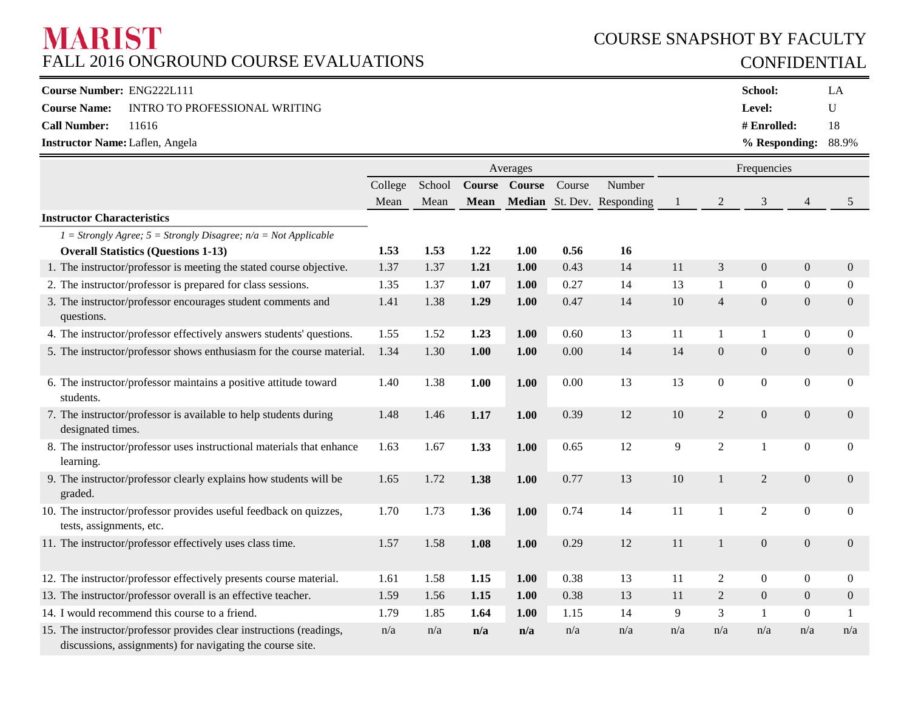# **MARIST** FALL 2016 ONGROUND COURSE EVALUATIONS

## COURSE SNAPSHOT BY FACULTY CONFIDENTIAL

| <b>Course Number: ENG222L111</b>       |                                                   | <b>School:</b>           | LA |
|----------------------------------------|---------------------------------------------------|--------------------------|----|
|                                        | <b>Course Name:</b> INTRO TO PROFESSIONAL WRITING | <b>Level:</b>            | U  |
| Call Number: 11616                     |                                                   | # $Enrolled:$            | 18 |
| <b>Instructor Name: Laflen, Angela</b> |                                                   | $%$ Responding: $88.9\%$ |    |

|                                                                                                                                  |         |        |      | Averages      |        |                            | Frequencies |                  |                  |                  |                  |
|----------------------------------------------------------------------------------------------------------------------------------|---------|--------|------|---------------|--------|----------------------------|-------------|------------------|------------------|------------------|------------------|
|                                                                                                                                  | College | School |      | Course Course | Course | Number                     |             |                  |                  |                  |                  |
|                                                                                                                                  | Mean    | Mean   | Mean |               |        | Median St. Dev. Responding | 1           | 2                | 3                | 4                | 5                |
| <b>Instructor Characteristics</b>                                                                                                |         |        |      |               |        |                            |             |                  |                  |                  |                  |
| $I =$ Strongly Agree; $5 =$ Strongly Disagree; $n/a =$ Not Applicable                                                            |         |        |      |               |        |                            |             |                  |                  |                  |                  |
| <b>Overall Statistics (Questions 1-13)</b>                                                                                       | 1.53    | 1.53   | 1.22 | 1.00          | 0.56   | <b>16</b>                  |             |                  |                  |                  |                  |
| 1. The instructor/professor is meeting the stated course objective.                                                              | 1.37    | 1.37   | 1.21 | 1.00          | 0.43   | 14                         | 11          | 3                | $\mathbf{0}$     | $\overline{0}$   | $\overline{0}$   |
| 2. The instructor/professor is prepared for class sessions.                                                                      | 1.35    | 1.37   | 1.07 | 1.00          | 0.27   | 14                         | 13          | $\mathbf{1}$     | $\boldsymbol{0}$ | $\boldsymbol{0}$ | $\overline{0}$   |
| 3. The instructor/professor encourages student comments and<br>questions.                                                        | 1.41    | 1.38   | 1.29 | 1.00          | 0.47   | 14                         | 10          | $\overline{4}$   | $\mathbf{0}$     | $\mathbf{0}$     | $\overline{0}$   |
| 4. The instructor/professor effectively answers students' questions.                                                             | 1.55    | 1.52   | 1.23 | 1.00          | 0.60   | 13                         | 11          | $\mathbf{1}$     | 1                | $\boldsymbol{0}$ | $\overline{0}$   |
| 5. The instructor/professor shows enthusiasm for the course material.                                                            | 1.34    | 1.30   | 1.00 | 1.00          | 0.00   | 14                         | 14          | $\boldsymbol{0}$ | $\overline{0}$   | $\overline{0}$   | $\overline{0}$   |
| 6. The instructor/professor maintains a positive attitude toward<br>students.                                                    | 1.40    | 1.38   | 1.00 | 1.00          | 0.00   | 13                         | 13          | $\boldsymbol{0}$ | $\boldsymbol{0}$ | $\boldsymbol{0}$ | $\boldsymbol{0}$ |
| 7. The instructor/professor is available to help students during<br>designated times.                                            | 1.48    | 1.46   | 1.17 | 1.00          | 0.39   | 12                         | 10          | $\overline{2}$   | $\mathbf{0}$     | $\overline{0}$   | $\mathbf{0}$     |
| 8. The instructor/professor uses instructional materials that enhance<br>learning.                                               | 1.63    | 1.67   | 1.33 | 1.00          | 0.65   | 12                         | 9           | $\mathfrak{2}$   | $\mathbf{1}$     | $\overline{0}$   | $\mathbf{0}$     |
| 9. The instructor/professor clearly explains how students will be<br>graded.                                                     | 1.65    | 1.72   | 1.38 | 1.00          | 0.77   | 13                         | 10          | 1                | $\overline{2}$   | $\boldsymbol{0}$ | $\overline{0}$   |
| 10. The instructor/professor provides useful feedback on quizzes,<br>tests, assignments, etc.                                    | 1.70    | 1.73   | 1.36 | 1.00          | 0.74   | 14                         | 11          | $\mathbf{1}$     | $\overline{2}$   | $\boldsymbol{0}$ | $\mathbf{0}$     |
| 11. The instructor/professor effectively uses class time.                                                                        | 1.57    | 1.58   | 1.08 | 1.00          | 0.29   | 12                         | 11          | $\overline{1}$   | $\boldsymbol{0}$ | $\boldsymbol{0}$ | $\mathbf{0}$     |
| 12. The instructor/professor effectively presents course material.                                                               | 1.61    | 1.58   | 1.15 | 1.00          | 0.38   | 13                         | 11          | $\overline{2}$   | $\overline{0}$   | $\boldsymbol{0}$ | $\overline{0}$   |
| 13. The instructor/professor overall is an effective teacher.                                                                    | 1.59    | 1.56   | 1.15 | 1.00          | 0.38   | 13                         | 11          | $\overline{2}$   | $\boldsymbol{0}$ | $\mathbf{0}$     | $\overline{0}$   |
| 14. I would recommend this course to a friend.                                                                                   | 1.79    | 1.85   | 1.64 | 1.00          | 1.15   | 14                         | 9           | 3                | $\mathbf{1}$     | $\overline{0}$   |                  |
| 15. The instructor/professor provides clear instructions (readings,<br>discussions, assignments) for navigating the course site. | n/a     | n/a    | n/a  | n/a           | n/a    | n/a                        | n/a         | n/a              | n/a              | n/a              | n/a              |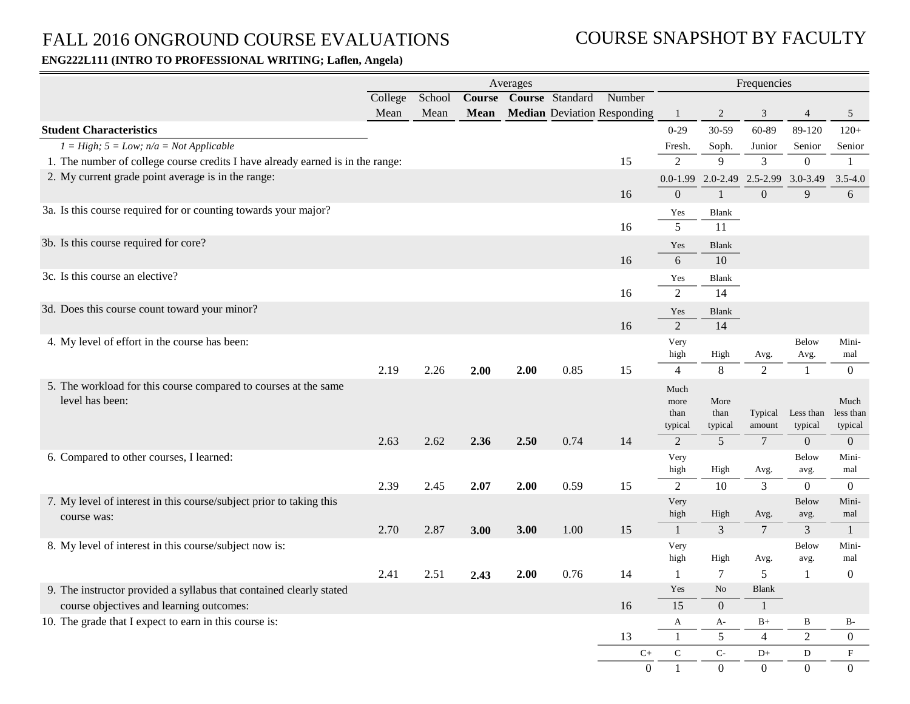# FALL 2016 ONGROUND COURSE EVALUATIONS

### COURSE SNAPSHOT BY FACULTY

#### **ENG222L111 (INTRO TO PROFESSIONAL WRITING; Laflen, Angela)**

|                                                                                |         |        |      | Averages |                               |                                    | Frequencies     |                |                        |                        |                   |
|--------------------------------------------------------------------------------|---------|--------|------|----------|-------------------------------|------------------------------------|-----------------|----------------|------------------------|------------------------|-------------------|
|                                                                                | College | School |      |          | <b>Course Course Standard</b> | Number                             |                 |                |                        |                        |                   |
|                                                                                | Mean    | Mean   | Mean |          |                               | <b>Median Deviation Responding</b> | $\mathbf{1}$    | $\sqrt{2}$     | 3                      | $\overline{4}$         | $\mathfrak{S}$    |
| <b>Student Characteristics</b>                                                 |         |        |      |          |                               |                                    | $0 - 29$        | 30-59          | 60-89                  | 89-120                 | $120+$            |
| $I = High$ ; $5 = Low$ ; $n/a = Not Applicable$                                |         |        |      |          |                               |                                    | Fresh.          | Soph.          | Junior                 | Senior                 | Senior            |
| 1. The number of college course credits I have already earned is in the range: |         |        |      |          |                               | 15                                 | $\overline{2}$  | 9              | 3                      | $\overline{0}$         | $\mathbf{1}$      |
| 2. My current grade point average is in the range:                             |         |        |      |          |                               |                                    | $0.0 - 1.99$    | $2.0 - 2.49$   | 2.5-2.99               | 3.0-3.49               | $3.5 - 4.0$       |
|                                                                                |         |        |      |          |                               | 16                                 | $\mathbf{0}$    | $\mathbf{1}$   | $\Omega$               | 9                      | 6                 |
| 3a. Is this course required for or counting towards your major?                |         |        |      |          |                               |                                    | Yes             | Blank          |                        |                        |                   |
|                                                                                |         |        |      |          |                               | 16                                 | $5\overline{)}$ | 11             |                        |                        |                   |
| 3b. Is this course required for core?                                          |         |        |      |          |                               |                                    | Yes             | <b>Blank</b>   |                        |                        |                   |
|                                                                                |         |        |      |          |                               | 16                                 | 6               | 10             |                        |                        |                   |
| 3c. Is this course an elective?                                                |         |        |      |          |                               |                                    | Yes             | <b>Blank</b>   |                        |                        |                   |
|                                                                                |         |        |      |          |                               | 16                                 | $\overline{2}$  | 14             |                        |                        |                   |
| 3d. Does this course count toward your minor?                                  |         |        |      |          |                               |                                    | Yes             | <b>Blank</b>   |                        |                        |                   |
|                                                                                |         |        |      |          |                               | 16                                 | $\overline{2}$  | 14             |                        |                        |                   |
| 4. My level of effort in the course has been:                                  |         |        |      |          |                               |                                    | Very            |                |                        | <b>Below</b>           | Mini-             |
|                                                                                |         |        |      |          |                               |                                    | high            | High           | Avg.                   | Avg.                   | mal               |
|                                                                                | 2.19    | 2.26   | 2.00 | 2.00     | 0.85                          | 15                                 | $\overline{4}$  | 8              | 2                      | 1                      | $\overline{0}$    |
| 5. The workload for this course compared to courses at the same                |         |        |      |          |                               |                                    | Much            |                |                        |                        |                   |
| level has been:                                                                |         |        |      |          |                               |                                    | more<br>than    | More<br>than   | Typical                | Less than              | Much<br>less than |
|                                                                                |         |        |      |          |                               |                                    | typical         | typical        | amount                 | typical                | typical           |
|                                                                                | 2.63    | 2.62   | 2.36 | 2.50     | 0.74                          | 14                                 | $\mathfrak{D}$  | $\overline{5}$ | $\overline{7}$         | $\overline{0}$         | $\overline{0}$    |
| 6. Compared to other courses, I learned:                                       |         |        |      |          |                               |                                    | Very            |                |                        | Below                  | Mini-             |
|                                                                                |         |        |      |          |                               |                                    | high            | High           | Avg.                   | avg.                   | mal               |
|                                                                                | 2.39    | 2.45   | 2.07 | 2.00     | 0.59                          | 15                                 | $\overline{2}$  | 10             | 3                      | $\overline{0}$         | $\overline{0}$    |
| 7. My level of interest in this course/subject prior to taking this            |         |        |      |          |                               |                                    | Very<br>high    | High           |                        | Below                  | Mini-<br>mal      |
| course was:                                                                    | 2.70    | 2.87   | 3.00 | 3.00     | 1.00                          | 15                                 | $\mathbf{1}$    | $\overline{3}$ | Avg.<br>$\overline{7}$ | avg.<br>$\overline{3}$ | $\mathbf{1}$      |
| 8. My level of interest in this course/subject now is:                         |         |        |      |          |                               |                                    | Very            |                |                        | Below                  | Mini-             |
|                                                                                |         |        |      |          |                               |                                    | high            | High           | Avg.                   | avg.                   | mal               |
|                                                                                | 2.41    | 2.51   | 2.43 | 2.00     | 0.76                          | 14                                 | -1              | $\overline{7}$ | 5                      | 1                      | $\overline{0}$    |
| 9. The instructor provided a syllabus that contained clearly stated            |         |        |      |          |                               |                                    | Yes             | No             | <b>Blank</b>           |                        |                   |
| course objectives and learning outcomes:                                       |         |        |      |          |                               | 16                                 | 15              | $\Omega$       | $\mathbf{1}$           |                        |                   |
| 10. The grade that I expect to earn in this course is:                         |         |        |      |          |                               |                                    | A               | A-             | $B+$                   | B                      | $B-$              |
|                                                                                |         |        |      |          |                               | 13                                 | $\mathbf{1}$    | 5              | $\overline{4}$         | $\overline{2}$         | $\overline{0}$    |
|                                                                                |         |        |      |          |                               | $\mathrm{C}+$                      | ${\bf C}$       | $C-$           | $D+$                   | $\mathbf{D}$           | $\mathbf F$       |
|                                                                                |         |        |      |          |                               | $\overline{0}$                     | $\mathbf{1}$    | $\mathbf{0}$   | $\Omega$               | $\Omega$               | $\overline{0}$    |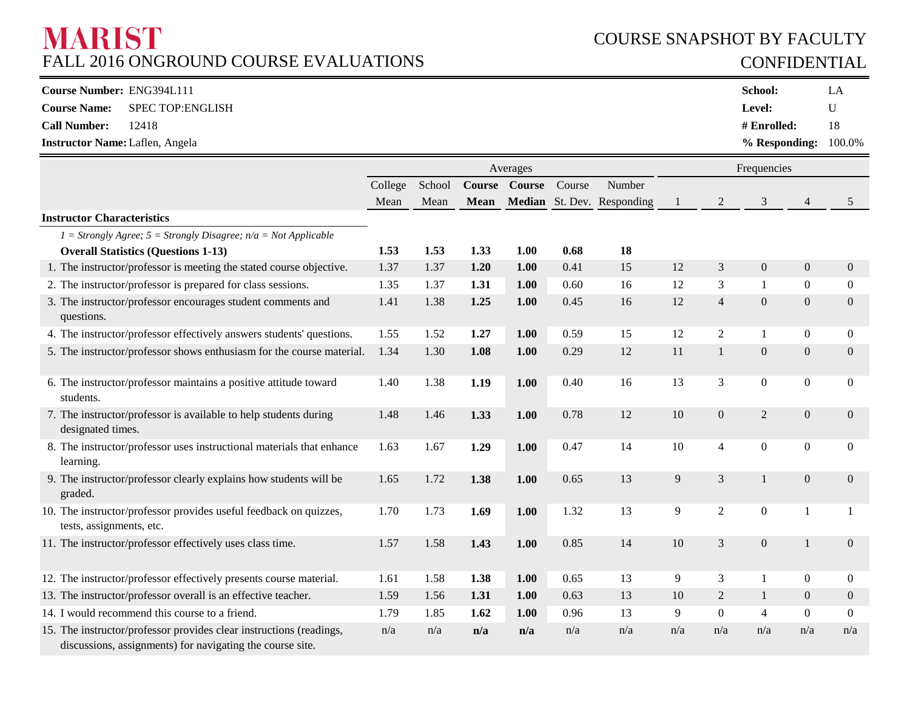# **MARIST** FALL 2016 ONGROUND COURSE EVALUATIONS

# COURSE SNAPSHOT BY FACULTY CONFIDENTIAL

| Course Number: ENG394L111              |                                      | School:                   | LA |
|----------------------------------------|--------------------------------------|---------------------------|----|
|                                        | <b>Course Name:</b> SPEC TOP:ENGLISH | <b>Level:</b>             |    |
| <b>Call Number:</b>                    | 12418                                | $#$ Enrolled:             | 18 |
| <b>Instructor Name: Laflen, Angela</b> |                                      | $%$ Responding: $100.0\%$ |    |

|                                                                                                                                  |         |        |             | Averages      |        |                            | Frequencies |                  |                  |                  |                  |  |
|----------------------------------------------------------------------------------------------------------------------------------|---------|--------|-------------|---------------|--------|----------------------------|-------------|------------------|------------------|------------------|------------------|--|
|                                                                                                                                  | College | School |             | Course Course | Course | Number                     |             |                  |                  |                  |                  |  |
|                                                                                                                                  | Mean    | Mean   | <b>Mean</b> |               |        | Median St. Dev. Responding | -1          | $\overline{c}$   | 3                | 4                | 5                |  |
| <b>Instructor Characteristics</b>                                                                                                |         |        |             |               |        |                            |             |                  |                  |                  |                  |  |
| $I =$ Strongly Agree; $5 =$ Strongly Disagree; $n/a =$ Not Applicable                                                            |         |        |             |               |        |                            |             |                  |                  |                  |                  |  |
| <b>Overall Statistics (Questions 1-13)</b>                                                                                       | 1.53    | 1.53   | 1.33        | 1.00          | 0.68   | 18                         |             |                  |                  |                  |                  |  |
| 1. The instructor/professor is meeting the stated course objective.                                                              | 1.37    | 1.37   | 1.20        | 1.00          | 0.41   | 15                         | 12          | 3                | $\boldsymbol{0}$ | $\overline{0}$   | $\overline{0}$   |  |
| 2. The instructor/professor is prepared for class sessions.                                                                      | 1.35    | 1.37   | 1.31        | 1.00          | 0.60   | 16                         | 12          | 3                | $\mathbf{1}$     | $\boldsymbol{0}$ | $\overline{0}$   |  |
| 3. The instructor/professor encourages student comments and<br>questions.                                                        | 1.41    | 1.38   | 1.25        | 1.00          | 0.45   | 16                         | 12          | $\overline{4}$   | $\mathbf{0}$     | $\mathbf{0}$     | $\overline{0}$   |  |
| 4. The instructor/professor effectively answers students' questions.                                                             | 1.55    | 1.52   | 1.27        | 1.00          | 0.59   | 15                         | 12          | $\overline{2}$   | 1                | $\boldsymbol{0}$ | $\overline{0}$   |  |
| 5. The instructor/professor shows enthusiasm for the course material.                                                            | 1.34    | 1.30   | 1.08        | 1.00          | 0.29   | 12                         | 11          | $\mathbf{1}$     | $\boldsymbol{0}$ | $\overline{0}$   | $\mathbf{0}$     |  |
| 6. The instructor/professor maintains a positive attitude toward<br>students.                                                    | 1.40    | 1.38   | 1.19        | 1.00          | 0.40   | 16                         | 13          | 3                | $\boldsymbol{0}$ | $\boldsymbol{0}$ | $\boldsymbol{0}$ |  |
| 7. The instructor/professor is available to help students during<br>designated times.                                            | 1.48    | 1.46   | 1.33        | 1.00          | 0.78   | 12                         | 10          | $\boldsymbol{0}$ | $\overline{2}$   | $\overline{0}$   | $\mathbf{0}$     |  |
| 8. The instructor/professor uses instructional materials that enhance<br>learning.                                               | 1.63    | 1.67   | 1.29        | 1.00          | 0.47   | 14                         | 10          | $\overline{4}$   | $\boldsymbol{0}$ | $\boldsymbol{0}$ | $\mathbf{0}$     |  |
| 9. The instructor/professor clearly explains how students will be<br>graded.                                                     | 1.65    | 1.72   | 1.38        | 1.00          | 0.65   | 13                         | 9           | 3                | $\mathbf{1}$     | $\overline{0}$   | $\mathbf{0}$     |  |
| 10. The instructor/professor provides useful feedback on quizzes,<br>tests, assignments, etc.                                    | 1.70    | 1.73   | 1.69        | 1.00          | 1.32   | 13                         | 9           | $\overline{2}$   | $\boldsymbol{0}$ | $\mathbf{1}$     |                  |  |
| 11. The instructor/professor effectively uses class time.                                                                        | 1.57    | 1.58   | 1.43        | 1.00          | 0.85   | 14                         | 10          | 3                | $\boldsymbol{0}$ | $\mathbf{1}$     | $\mathbf{0}$     |  |
| 12. The instructor/professor effectively presents course material.                                                               | 1.61    | 1.58   | 1.38        | 1.00          | 0.65   | 13                         | 9           | 3                | 1                | $\boldsymbol{0}$ | $\overline{0}$   |  |
| 13. The instructor/professor overall is an effective teacher.                                                                    | 1.59    | 1.56   | 1.31        | 1.00          | 0.63   | 13                         | 10          | $\overline{2}$   | $\mathbf{1}$     | $\overline{0}$   | $\overline{0}$   |  |
| 14. I would recommend this course to a friend.                                                                                   | 1.79    | 1.85   | 1.62        | 1.00          | 0.96   | 13                         | 9           | $\boldsymbol{0}$ | $\overline{4}$   | $\overline{0}$   | $\overline{0}$   |  |
| 15. The instructor/professor provides clear instructions (readings,<br>discussions, assignments) for navigating the course site. | n/a     | n/a    | n/a         | n/a           | n/a    | n/a                        | n/a         | n/a              | n/a              | n/a              | n/a              |  |